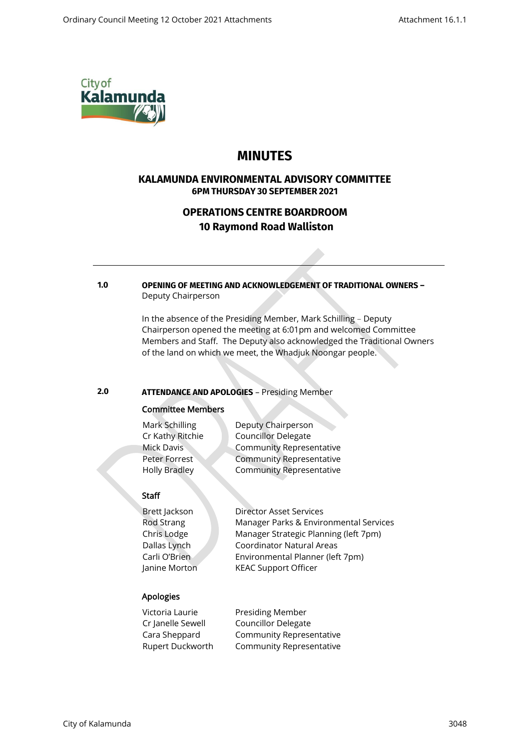

# **MINUTES**

# **KALAMUNDA ENVIRONMENTAL ADVISORY COMMITTEE 6PM THURSDAY 30 SEPTEMBER 2021**

# **OPERATIONS CENTRE BOARDROOM 10 Raymond Road Walliston**

### **1.0 OPENING OF MEETING AND ACKNOWLEDGEMENT OF TRADITIONAL OWNERS –** Deputy Chairperson

In the absence of the Presiding Member, Mark Schilling – Deputy Chairperson opened the meeting at 6:01pm and welcomed Committee Members and Staff. The Deputy also acknowledged the Traditional Owners of the land on which we meet, the Whadjuk Noongar people.

# **2.0 ATTENDANCE AND APOLOGIES** – Presiding Member

# Committee Members

| Mark Schilling       | Deputy Chairperson              |
|----------------------|---------------------------------|
| Cr Kathy Ritchie     | <b>Councillor Delegate</b>      |
| Mick Davis           | <b>Community Representative</b> |
| Peter Forrest        | <b>Community Representative</b> |
| <b>Holly Bradley</b> | <b>Community Representative</b> |
|                      |                                 |

# **Staff**

Brett Jackson Director Asset Services

Rod Strang Manager Parks & Environmental Services Chris Lodge Manager Strategic Planning (left 7pm) Dallas Lynch Coordinator Natural Areas Carli O'Brien Environmental Planner (left 7pm) Janine Morton KEAC Support Officer

# Apologies

| Victoria Laurie   | Presiding Member           |
|-------------------|----------------------------|
| Cr Janelle Sewell | <b>Councillor Delegate</b> |
| Cara Sheppard     | Community Representative   |
| Rupert Duckworth  | Community Representative   |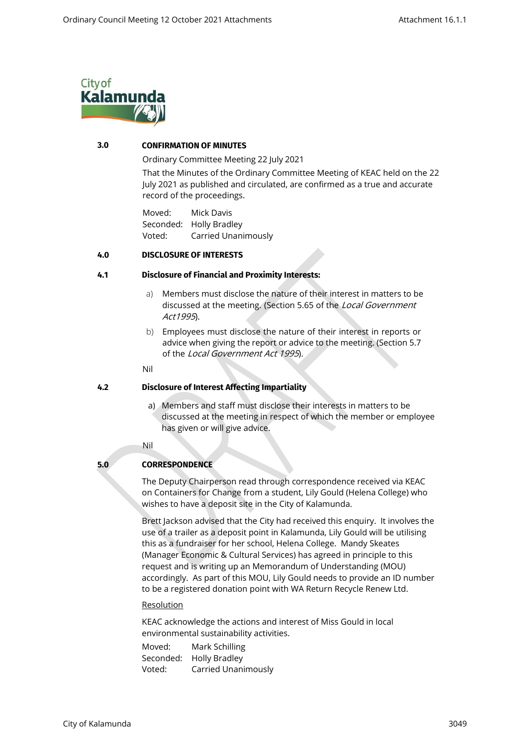

# **3.0 CONFIRMATION OF MINUTES**

Ordinary Committee Meeting 22 July 2021

That the Minutes of the Ordinary Committee Meeting of KEAC held on the 22 July 2021 as published and circulated, are confirmed as a true and accurate record of the proceedings.

Moved: Mick Davis Seconded: Holly Bradley Voted: Carried Unanimously

#### **4.0 DISCLOSURE OF INTERESTS**

#### **4.1 Disclosure of Financial and Proximity Interests:**

- a) Members must disclose the nature of their interest in matters to be discussed at the meeting. (Section 5.65 of the Local Government Act1995).
- b) Employees must disclose the nature of their interest in reports or advice when giving the report or advice to the meeting. (Section 5.7 of the Local Government Act 1995).

#### Nil

### **4.2 Disclosure of Interest Affecting Impartiality**

- a) Members and staff must disclose their interests in matters to be discussed at the meeting in respect of which the member or employee has given or will give advice.
- Nil

### **5.0 CORRESPONDENCE**

The Deputy Chairperson read through correspondence received via KEAC on Containers for Change from a student, Lily Gould (Helena College) who wishes to have a deposit site in the City of Kalamunda.

Brett Jackson advised that the City had received this enquiry. It involves the use of a trailer as a deposit point in Kalamunda, Lily Gould will be utilising this as a fundraiser for her school, Helena College. Mandy Skeates (Manager Economic & Cultural Services) has agreed in principle to this request and is writing up an Memorandum of Understanding (MOU) accordingly. As part of this MOU, Lily Gould needs to provide an ID number to be a registered donation point with WA Return Recycle Renew Ltd.

#### **Resolution**

KEAC acknowledge the actions and interest of Miss Gould in local environmental sustainability activities.

Moved: Mark Schilling Seconded: Holly Bradley Voted: Carried Unanimously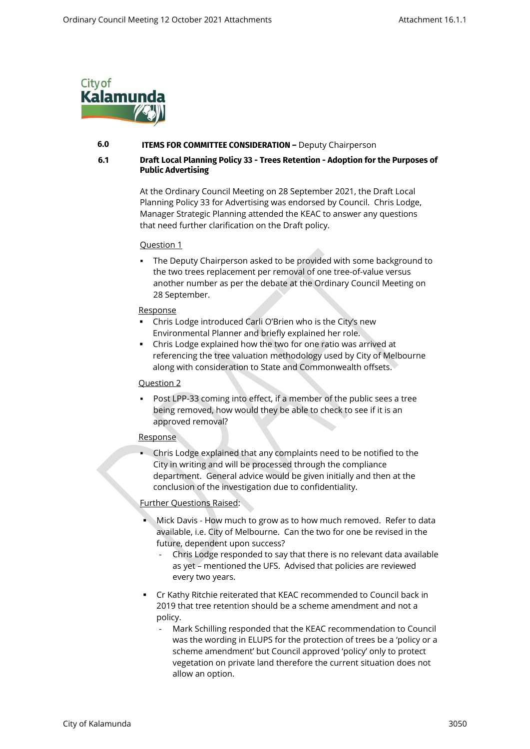

### **6.0 ITEMS FOR COMMITTEE CONSIDERATION –** Deputy Chairperson

## **6.1 Draft Local Planning Policy 33 - Trees Retention - Adoption for the Purposes of Public Advertising**

At the Ordinary Council Meeting on 28 September 2021, the Draft Local Planning Policy 33 for Advertising was endorsed by Council. Chris Lodge, Manager Strategic Planning attended the KEAC to answer any questions that need further clarification on the Draft policy.

#### Question 1

The Deputy Chairperson asked to be provided with some background to the two trees replacement per removal of one tree-of-value versus another number as per the debate at the Ordinary Council Meeting on 28 September.

#### Response

- Chris Lodge introduced Carli O'Brien who is the City's new Environmental Planner and briefly explained her role.
- Chris Lodge explained how the two for one ratio was arrived at referencing the tree valuation methodology used by City of Melbourne along with consideration to State and Commonwealth offsets.

### Question 2

Post LPP-33 coming into effect, if a member of the public sees a tree being removed, how would they be able to check to see if it is an approved removal?

### Response

Chris Lodge explained that any complaints need to be notified to the City in writing and will be processed through the compliance department. General advice would be given initially and then at the conclusion of the investigation due to confidentiality.

### Further Questions Raised:

- Mick Davis How much to grow as to how much removed. Refer to data available, i.e. City of Melbourne. Can the two for one be revised in the future, dependent upon success?
	- Chris Lodge responded to say that there is no relevant data available as yet – mentioned the UFS. Advised that policies are reviewed every two years.
- Cr Kathy Ritchie reiterated that KEAC recommended to Council back in 2019 that tree retention should be a scheme amendment and not a policy.
	- Mark Schilling responded that the KEAC recommendation to Council was the wording in ELUPS for the protection of trees be a 'policy or a scheme amendment' but Council approved 'policy' only to protect vegetation on private land therefore the current situation does not allow an option.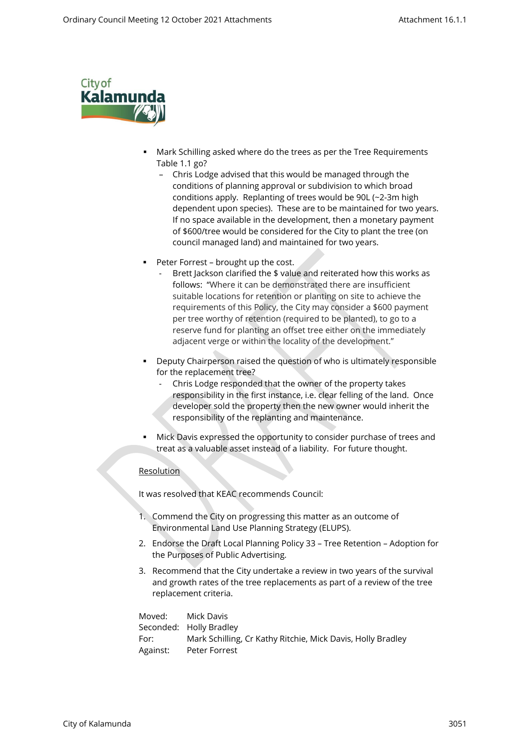

- Mark Schilling asked where do the trees as per the Tree Requirements Table 1.1 go?
	- Chris Lodge advised that this would be managed through the conditions of planning approval or subdivision to which broad conditions apply. Replanting of trees would be 90L (~2-3m high dependent upon species). These are to be maintained for two years. If no space available in the development, then a monetary payment of \$600/tree would be considered for the City to plant the tree (on council managed land) and maintained for two years.
- Peter Forrest brought up the cost.
	- Brett Jackson clarified the \$ value and reiterated how this works as follows: "Where it can be demonstrated there are insufficient suitable locations for retention or planting on site to achieve the requirements of this Policy, the City may consider a \$600 payment per tree worthy of retention (required to be planted), to go to a reserve fund for planting an offset tree either on the immediately adjacent verge or within the locality of the development."
- Beputy Chairperson raised the question of who is ultimately responsible for the replacement tree?
	- Chris Lodge responded that the owner of the property takes responsibility in the first instance, i.e. clear felling of the land. Once developer sold the property then the new owner would inherit the responsibility of the replanting and maintenance.
- Mick Davis expressed the opportunity to consider purchase of trees and treat as a valuable asset instead of a liability. For future thought.

# **Resolution**

It was resolved that KEAC recommends Council:

- 1. Commend the City on progressing this matter as an outcome of Environmental Land Use Planning Strategy (ELUPS).
- 2. Endorse the Draft Local Planning Policy 33 Tree Retention Adoption for the Purposes of Public Advertising.
- 3. Recommend that the City undertake a review in two years of the survival and growth rates of the tree replacements as part of a review of the tree replacement criteria.

| Moved:    | Mick Davis                                                  |
|-----------|-------------------------------------------------------------|
|           | Seconded: Holly Bradley                                     |
| For: Fore | Mark Schilling, Cr Kathy Ritchie, Mick Davis, Holly Bradley |
| Against:  | Peter Forrest                                               |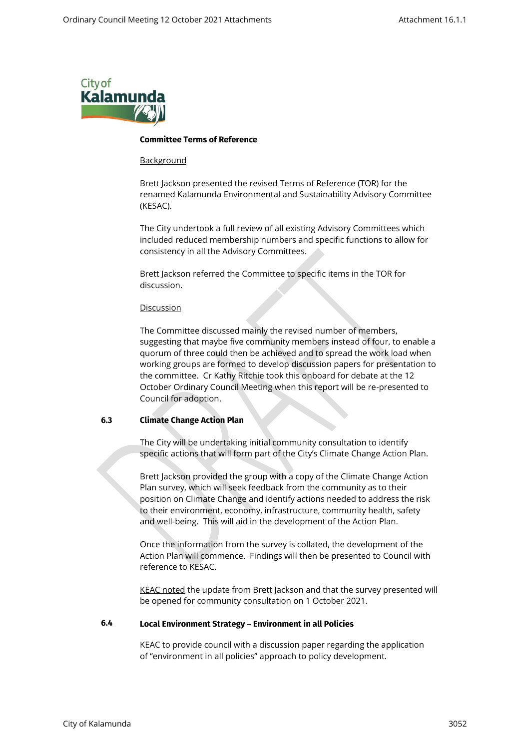

#### **Committee Terms of Reference**

#### **Background**

Brett Jackson presented the revised Terms of Reference (TOR) for the renamed Kalamunda Environmental and Sustainability Advisory Committee (KESAC).

The City undertook a full review of all existing Advisory Committees which included reduced membership numbers and specific functions to allow for consistency in all the Advisory Committees.

Brett Jackson referred the Committee to specific items in the TOR for discussion.

#### Discussion

The Committee discussed mainly the revised number of members, suggesting that maybe five community members instead of four, to enable a quorum of three could then be achieved and to spread the work load when working groups are formed to develop discussion papers for presentation to the committee. Cr Kathy Ritchie took this onboard for debate at the 12 October Ordinary Council Meeting when this report will be re-presented to Council for adoption.

### **6.3 Climate Change Action Plan**

The City will be undertaking initial community consultation to identify specific actions that will form part of the City's Climate Change Action Plan.

Brett Jackson provided the group with a copy of the Climate Change Action Plan survey, which will seek feedback from the community as to their position on Climate Change and identify actions needed to address the risk to their environment, economy, infrastructure, community health, safety and well-being. This will aid in the development of the Action Plan.

Once the information from the survey is collated, the development of the Action Plan will commence. Findings will then be presented to Council with reference to KESAC.

KEAC noted the update from Brett Jackson and that the survey presented will be opened for community consultation on 1 October 2021.

#### **6.4 Local Environment Strategy** – **Environment in all Policies**

KEAC to provide council with a discussion paper regarding the application of "environment in all policies" approach to policy development.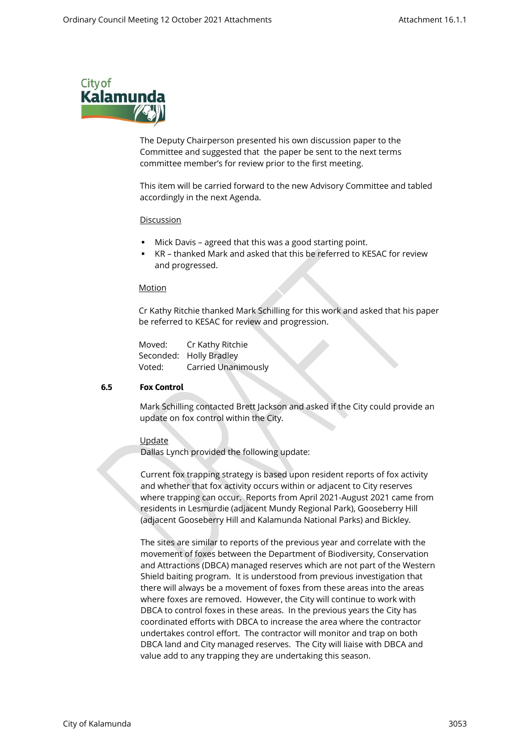

The Deputy Chairperson presented his own discussion paper to the Committee and suggested that the paper be sent to the next terms committee member's for review prior to the first meeting.

This item will be carried forward to the new Advisory Committee and tabled accordingly in the next Agenda.

#### Discussion

- Mick Davis agreed that this was a good starting point.
- KR thanked Mark and asked that this be referred to KESAC for review and progressed.

#### Motion

Cr Kathy Ritchie thanked Mark Schilling for this work and asked that his paper be referred to KESAC for review and progression.

Moved: Cr Kathy Ritchie Seconded: Holly Bradley Voted: Carried Unanimously

#### **6.5 Fox Control**

Mark Schilling contacted Brett Jackson and asked if the City could provide an update on fox control within the City.

#### **Update**

Dallas Lynch provided the following update:

Current fox trapping strategy is based upon resident reports of fox activity and whether that fox activity occurs within or adjacent to City reserves where trapping can occur. Reports from April 2021-August 2021 came from residents in Lesmurdie (adjacent Mundy Regional Park), Gooseberry Hill (adjacent Gooseberry Hill and Kalamunda National Parks) and Bickley.

The sites are similar to reports of the previous year and correlate with the movement of foxes between the Department of Biodiversity, Conservation and Attractions (DBCA) managed reserves which are not part of the Western Shield baiting program. It is understood from previous investigation that there will always be a movement of foxes from these areas into the areas where foxes are removed. However, the City will continue to work with DBCA to control foxes in these areas. In the previous years the City has coordinated efforts with DBCA to increase the area where the contractor undertakes control effort. The contractor will monitor and trap on both DBCA land and City managed reserves. The City will liaise with DBCA and value add to any trapping they are undertaking this season.